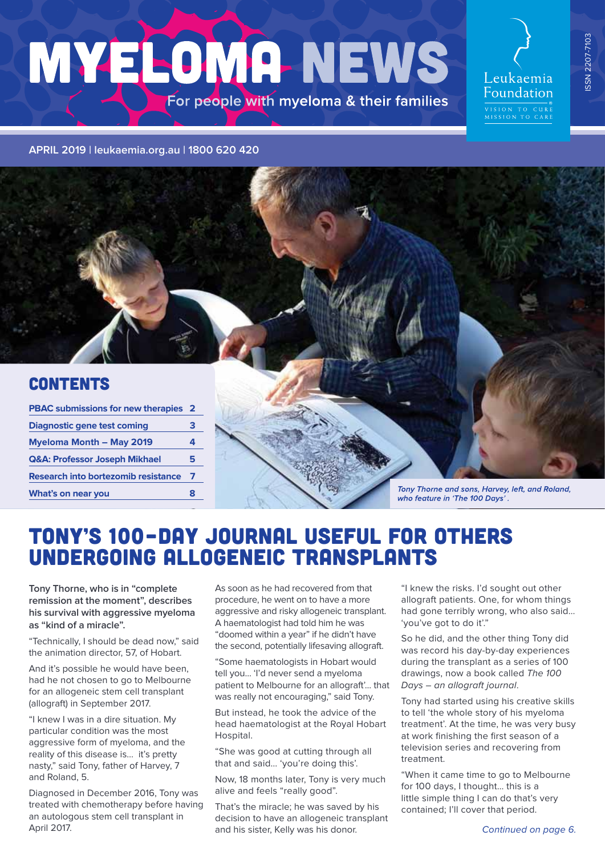# MYELOMA NEWS For people with myeloma & their families

Leukaemia Foundation VISION TO CURE<br>MISSION TO CARE

ISSN 2207-7103

SSN 2207-7103

**APRIL [2019 | leukaemia.org.au](leukaemia.org.au) | 1800 620 420**

### **CONTENTS**

| <b>PBAC submissions for new therapies 2</b> |   |
|---------------------------------------------|---|
| Diagnostic gene test coming                 | з |
| <b>Myeloma Month - May 2019</b>             |   |
| <b>Q&amp;A: Professor Joseph Mikhael</b>    | 5 |
| <b>Research into bortezomib resistance</b>  | 7 |
| What's on near you                          | 8 |



# TONY'S 100–DAY JOURNAL USEFUL FOR OTHERS UNDERGOING ALLOGENEIC TRANSPLANTS

**Tony Thorne, who is in "complete remission at the moment", describes his survival with aggressive myeloma as "kind of a miracle".**

"Technically, I should be dead now," said the animation director, 57, of Hobart.

And it's possible he would have been. had he not chosen to go to Melbourne for an allogeneic stem cell transplant (allograft) in September 2017.

"I knew I was in a dire situation. My particular condition was the most aggressive form of myeloma, and the reality of this disease is… it's pretty nasty," said Tony, father of Harvey, 7 and Roland, 5.

Diagnosed in December 2016, Tony was treated with chemotherapy before having an autologous stem cell transplant in April 2017.

As soon as he had recovered from that procedure, he went on to have a more aggressive and risky allogeneic transplant. A haematologist had told him he was "doomed within a year" if he didn't have the second, potentially lifesaving allograft.

"Some haematologists in Hobart would tell you... 'I'd never send a myeloma patient to Melbourne for an allograft'... that was really not encouraging," said Tony.

But instead, he took the advice of the head haematologist at the Royal Hobart Hospital.

"She was good at cutting through all that and said… 'you're doing this'.

Now, 18 months later, Tony is very much alive and feels "really good".

That's the miracle; he was saved by his decision to have an allogeneic transplant and his sister, Kelly was his donor.

"I knew the risks. I'd sought out other allograft patients. One, for whom things had gone terribly wrong, who also said… 'you've got to do it'."

So he did, and the other thing Tony did was record his day-by-day experiences during the transplant as a series of 100 drawings, now a book called The 100 Days – an allograft journal.

Tony had started using his creative skills to tell 'the whole story of his myeloma treatment'. At the time, he was very busy at work finishing the first season of a television series and recovering from treatment.

"When it came time to go to Melbourne for 100 days, I thought… this is a little simple thing I can do that's very contained; I'll cover that period.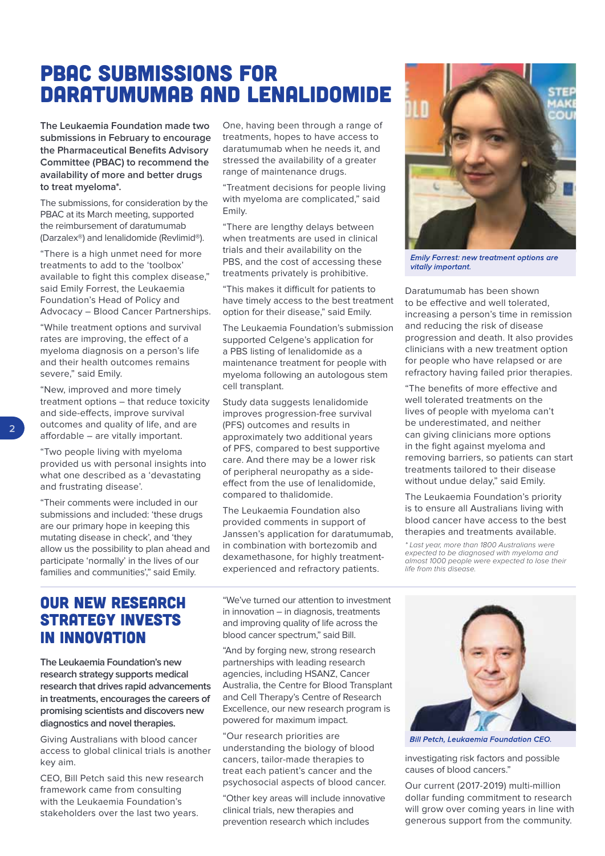# PBAC SUBMISSIONS FOR DARATUMUMAB AND LENALIDOMIDE

**The Leukaemia Foundation made two submissions in February to encourage the Pharmaceutical Benefits Advisory Committee (PBAC) to recommend the availability of more and better drugs to treat myeloma\*.**

The submissions, for consideration by the PBAC at its March meeting, supported the reimbursement of daratumumab (Darzalex®) and lenalidomide (Revlimid®).

"There is a high unmet need for more treatments to add to the 'toolbox' available to fight this complex disease," said Emily Forrest, the Leukaemia Foundation's Head of Policy and Advocacy – Blood Cancer Partnerships.

"While treatment options and survival rates are improving, the effect of a myeloma diagnosis on a person's life and their health outcomes remains severe," said Emily.

"New, improved and more timely treatment options – that reduce toxicity and side-effects, improve survival outcomes and quality of life, and are affordable – are vitally important.

"Two people living with myeloma provided us with personal insights into what one described as a 'devastating and frustrating disease'.

"Their comments were included in our submissions and included: 'these drugs are our primary hope in keeping this mutating disease in check', and 'they allow us the possibility to plan ahead and participate 'normally' in the lives of our families and communities'," said Emily.

One, having been through a range of treatments, hopes to have access to daratumumab when he needs it, and stressed the availability of a greater range of maintenance drugs.

"Treatment decisions for people living with myeloma are complicated," said Emily.

"There are lengthy delays between when treatments are used in clinical trials and their availability on the PBS, and the cost of accessing these treatments privately is prohibitive.

"This makes it difficult for patients to have timely access to the best treatment option for their disease," said Emily.

The Leukaemia Foundation's submission supported Celgene's application for a PBS listing of lenalidomide as a maintenance treatment for people with myeloma following an autologous stem cell transplant.

Study data suggests lenalidomide improves progression-free survival (PFS) outcomes and results in approximately two additional years of PFS, compared to best supportive care. And there may be a lower risk of peripheral neuropathy as a sideeffect from the use of lenalidomide, compared to thalidomide.

The Leukaemia Foundation also provided comments in support of Janssen's application for daratumumab, in combination with bortezomib and dexamethasone, for highly treatmentexperienced and refractory patients.



**Emily Forrest: new treatment options are** vitally important.

Daratumumab has been shown to be effective and well tolerated, increasing a person's time in remission and reducing the risk of disease progression and death. It also provides clinicians with a new treatment option for people who have relapsed or are refractory having failed prior therapies.

"The benefits of more effective and well tolerated treatments on the lives of people with myeloma can't be underestimated, and neither can giving clinicians more options in the fight against myeloma and removing barriers, so patients can start treatments tailored to their disease without undue delay," said Emily.

The Leukaemia Foundation's priority is to ensure all Australians living with blood cancer have access to the best therapies and treatments available.

\* Last year, more than 1800 Australians were expected to be diagnosed with myeloma and almost 1000 people were expected to lose their life from this disease.

### OUR NEW RESEARCH STRATEGY INVESTS IN INNOVATION

**The Leukaemia Foundation's new research strategy supports medical research that drives rapid advancements in treatments, encourages the careers of promising scientists and discovers new diagnostics and novel therapies.** 

Giving Australians with blood cancer access to global clinical trials is another key aim.

CEO, Bill Petch said this new research framework came from consulting with the Leukaemia Foundation's stakeholders over the last two years.

"We've turned our attention to investment in innovation – in diagnosis, treatments and improving quality of life across the blood cancer spectrum," said Bill.

"And by forging new, strong research partnerships with leading research agencies, including HSANZ, Cancer Australia, the Centre for Blood Transplant and Cell Therapy's Centre of Research Excellence, our new research program is powered for maximum impact.

"Our research priorities are understanding the biology of blood cancers, tailor-made therapies to treat each patient's cancer and the psychosocial aspects of blood cancer.

"Other key areas will include innovative clinical trials, new therapies and prevention research which includes



**Bill Petch, Leukaemia Foundation CEO.** 

investigating risk factors and possible causes of blood cancers."

Our current (2017-2019) multi-million dollar funding commitment to research will grow over coming years in line with generous support from the community.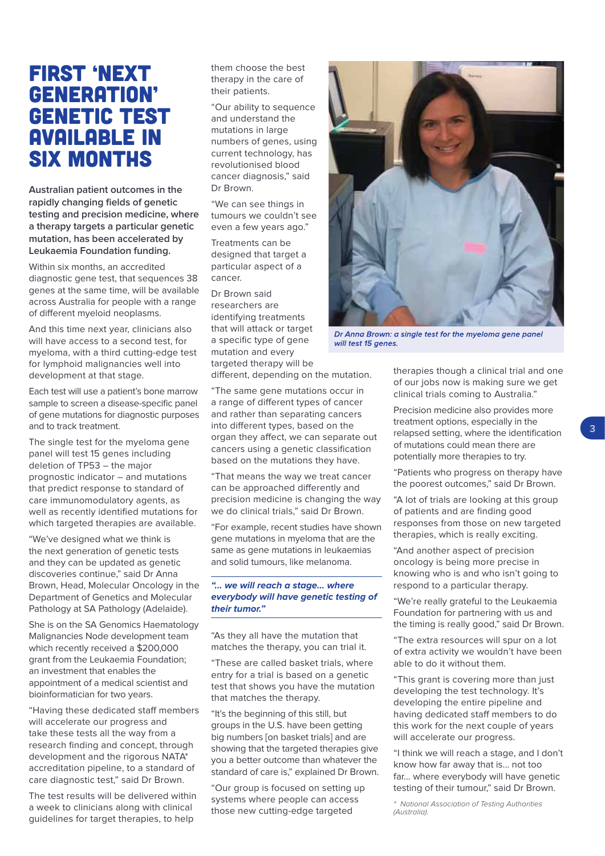## FIRST 'NEXT GENERATION' GENETIC TEST AVAILABLE IN SIX MONTHS

**Australian patient outcomes in the rapidly changing fields of genetic testing and precision medicine, where a therapy targets a particular genetic mutation, has been accelerated by Leukaemia Foundation funding.** 

Within six months, an accredited diagnostic gene test, that sequences 38 genes at the same time, will be available across Australia for people with a range of different myeloid neoplasms.

And this time next year, clinicians also will have access to a second test, for myeloma, with a third cutting-edge test for lymphoid malignancies well into development at that stage.

Each test will use a patient's bone marrow sample to screen a disease-specific panel of gene mutations for diagnostic purposes and to track treatment.

The single test for the myeloma gene panel will test 15 genes including deletion of TP53 – the major prognostic indicator – and mutations that predict response to standard of care immunomodulatory agents, as well as recently identified mutations for which targeted therapies are available.

"We've designed what we think is the next generation of genetic tests and they can be updated as genetic discoveries continue," said Dr Anna Brown, Head, Molecular Oncology in the Department of Genetics and Molecular Pathology at SA Pathology (Adelaide).

She is on the SA Genomics Haematology Malignancies Node development team which recently received a \$200,000 grant from the Leukaemia Foundation; an investment that enables the appointment of a medical scientist and bioinformatician for two years.

"Having these dedicated staff members will accelerate our progress and take these tests all the way from a research finding and concept, through development and the rigorous NATA\* accreditation pipeline, to a standard of care diagnostic test," said Dr Brown.

The test results will be delivered within a week to clinicians along with clinical guidelines for target therapies, to help

them choose the best therapy in the care of their patients.

"Our ability to sequence and understand the mutations in large numbers of genes, using current technology, has revolutionised blood cancer diagnosis," said Dr Brown.

"We can see things in tumours we couldn't see even a few years ago."

Treatments can be designed that target a particular aspect of a cancer.

Dr Brown said researchers are identifying treatments that will attack or target a specific type of gene mutation and every targeted therapy will be

different, depending on the mutation.

"The same gene mutations occur in a range of different types of cancer and rather than separating cancers into different types, based on the organ they affect, we can separate out cancers using a genetic classification based on the mutations they have.

"That means the way we treat cancer can be approached differently and precision medicine is changing the way we do clinical trials," said Dr Brown.

"For example, recent studies have shown gene mutations in myeloma that are the same as gene mutations in leukaemias and solid tumours, like melanoma.

#### **"... we will reach a stage... where everybody will have genetic testing of their tumor."**

"As they all have the mutation that matches the therapy, you can trial it.

"These are called basket trials, where entry for a trial is based on a genetic test that shows you have the mutation that matches the therapy.

"It's the beginning of this still, but groups in the U.S. have been getting big numbers [on basket trials] and are showing that the targeted therapies give you a better outcome than whatever the standard of care is," explained Dr Brown.

"Our group is focused on setting up systems where people can access those new cutting-edge targeted



Dr Anna Brown: a single test for the myeloma gene panel will test 15 genes.

therapies though a clinical trial and one of our jobs now is making sure we get clinical trials coming to Australia."

Precision medicine also provides more treatment options, especially in the relapsed setting, where the identification of mutations could mean there are potentially more therapies to try.

"Patients who progress on therapy have the poorest outcomes," said Dr Brown.

"A lot of trials are looking at this group of patients and are finding good responses from those on new targeted therapies, which is really exciting.

"And another aspect of precision oncology is being more precise in knowing who is and who isn't going to respond to a particular therapy.

"We're really grateful to the Leukaemia Foundation for partnering with us and the timing is really good," said Dr Brown.

"The extra resources will spur on a lot of extra activity we wouldn't have been able to do it without them.

"This grant is covering more than just developing the test technology. It's developing the entire pipeline and having dedicated staff members to do this work for the next couple of years will accelerate our progress.

"I think we will reach a stage, and I don't know how far away that is... not too far... where everybody will have genetic testing of their tumour," said Dr Brown.

\* National Association of Testing Authorities (Australia).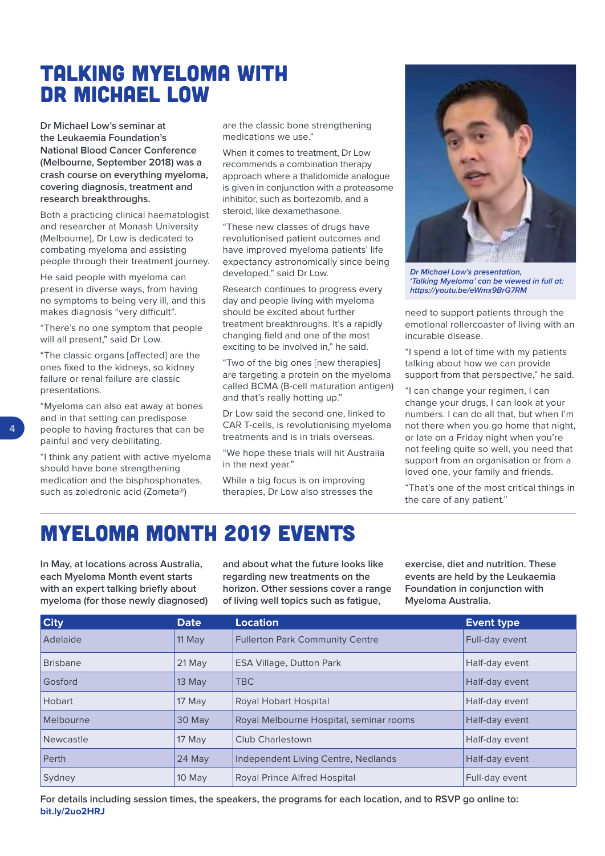# TALKING MYELOMA WITH DR MICHAEL LOW

**Dr Michael Low's seminar at the Leukaemia Foundation's National Blood Cancer Conference (Melbourne, September 2018) was a crash course on everything myeloma, covering diagnosis, treatment and research breakthroughs.**

Both a practicing clinical haematologist and researcher at Monash University (Melbourne), Dr Low is dedicated to combating myeloma and assisting people through their treatment journey.

He said people with myeloma can present in diverse ways, from having no symptoms to being very ill, and this makes diagnosis "very difficult".

"There's no one symptom that people will all present," said Dr Low.

"The classic organs [affected] are the ones fixed to the kidneys, so kidney failure or renal failure are classic presentations.

"Myeloma can also eat away at bones and in that setting can predispose people to having fractures that can be painful and very debilitating.

"I think any patient with active myeloma should have bone strengthening medication and the bisphosphonates, such as zoledronic acid (Zometa®)

are the classic bone strengthening medications we use."

When it comes to treatment, Dr Low recommends a combination therapy approach where a thalidomide analogue is given in conjunction with a proteasome inhibitor, such as bortezomib, and a steroid, like dexamethasone.

"These new classes of drugs have revolutionised patient outcomes and have improved myeloma patients' life expectancy astronomically since being developed," said Dr Low.

Research continues to progress every day and people living with myeloma should be excited about further treatment breakthroughs. It's a rapidly changing field and one of the most exciting to be involved in," he said.

"Two of the big ones [new therapies] are targeting a protein on the myeloma called BCMA (B-cell maturation antigen) and that's really hotting up."

Dr Low said the second one, linked to CAR T-cells, is revolutionising myeloma treatments and is in trials overseas.

"We hope these trials will hit Australia in the next year."

While a big focus is on improving therapies, Dr Low also stresses the



**Dr Michael Low's presentation, 'Talking Myeloma' can be viewed in full at: <https://youtu.be/eWmx9BrG7RM>**

need to support patients through the emotional rollercoaster of living with an incurable disease.

"I spend a lot of time with my patients talking about how we can provide support from that perspective," he said.

"I can change your regimen, I can change your drugs, I can look at your numbers. I can do all that, but when I'm not there when you go home that night, or late on a Friday night when you're not feeling quite so well, you need that support from an organisation or from a loved one, your family and friends.

"That's one of the most critical things in the care of any patient."

# MYELOMA MONTH 2019 EVENTS

**In May, at locations across Australia, each Myeloma Month event starts with an expert talking briefly about myeloma (for those newly diagnosed)** 

**and about what the future looks like regarding new treatments on the horizon. Other sessions cover a range of living well topics such as fatigue,** 

**exercise, diet and nutrition. These events are held by the Leukaemia Foundation in conjunction with Myeloma Australia.**

| <b>City</b>     | <b>Date</b> | <b>Location</b>                         | <b>Event type</b> |
|-----------------|-------------|-----------------------------------------|-------------------|
| Adelaide        | 11 May      | <b>Fullerton Park Community Centre</b>  | Full-day event    |
| <b>Brisbane</b> | $21$ May    | <b>ESA Village, Dutton Park</b>         | Half-day event    |
| Gosford         | $13$ May    | <b>TBC</b>                              | Half-day event    |
| Hobart          | 17 May      | Royal Hobart Hospital                   | Half-day event    |
| Melbourne       | 30 May      | Royal Melbourne Hospital, seminar rooms | Half-day event    |
| Newcastle       | 17 May      | <b>Club Charlestown</b>                 | Half-day event    |
| Perth           | 24 May      | Independent Living Centre, Nedlands     | Half-day event    |
| Sydney          | 10 May      | <b>Royal Prince Alfred Hospital</b>     | Full-day event    |

**For details including session times, the speakers, the programs for each location, and to RSVP go online to: [bit.ly/2uo2HRJ](www.bit.ly/2uo2HRJ)**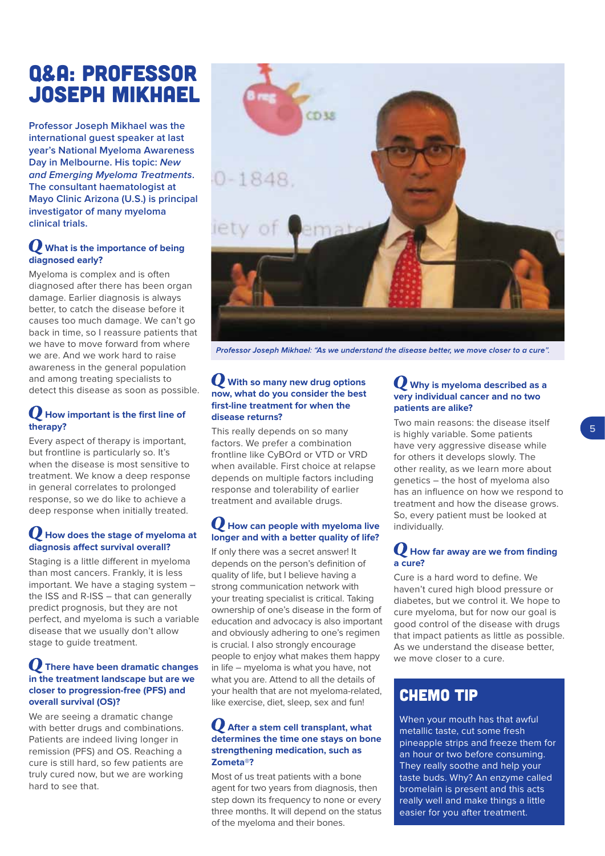# Q&A: PROFESSOR JOSEPH MIKHAEL

**Professor Joseph Mikhael was the international guest speaker at last year's National Myeloma Awareness Day in Melbourne. His topic: New and Emerging Myeloma Treatments. The consultant haematologist at Mayo Clinic Arizona (U.S.) is principal investigator of many myeloma clinical trials.**

#### **What is the importance of being diagnosed early?**

Myeloma is complex and is often diagnosed after there has been organ damage. Earlier diagnosis is always better, to catch the disease before it causes too much damage. We can't go back in time, so I reassure patients that we have to move forward from where we are. And we work hard to raise awareness in the general population and among treating specialists to detect this disease as soon as possible.

#### **How important is the first line of therapy?**

Every aspect of therapy is important, but frontline is particularly so. It's when the disease is most sensitive to treatment. We know a deep response in general correlates to prolonged response, so we do like to achieve a deep response when initially treated.

#### **How does the stage of myeloma at diagnosis affect survival overall?**

Staging is a little different in myeloma than most cancers. Frankly, it is less important. We have a staging system – the ISS and R-ISS – that can generally predict prognosis, but they are not perfect, and myeloma is such a variable disease that we usually don't allow stage to guide treatment.

#### **There have been dramatic changes in the treatment landscape but are we closer to progression-free (PFS) and overall survival (OS)?**

We are seeing a dramatic change with better drugs and combinations. Patients are indeed living longer in remission (PFS) and OS. Reaching a cure is still hard, so few patients are truly cured now, but we are working hard to see that.



Professor Joseph Mikhael: "As we understand the disease better, we move closer to a cure".

#### **With so many new drug options now, what do you consider the best first-line treatment for when the disease returns?**

This really depends on so many factors. We prefer a combination frontline like CyBOrd or VTD or VRD when available. First choice at relapse depends on multiple factors including response and tolerability of earlier treatment and available drugs.

#### **How can people with myeloma live longer and with a better quality of life?**

If only there was a secret answer! It depends on the person's definition of quality of life, but I believe having a strong communication network with your treating specialist is critical. Taking ownership of one's disease in the form of education and advocacy is also important and obviously adhering to one's regimen is crucial. I also strongly encourage people to enjoy what makes them happy in life – myeloma is what you have, not what you are. Attend to all the details of your health that are not myeloma-related, like exercise, diet, sleep, sex and fun!

#### **After a stem cell transplant, what determines the time one stays on bone strengthening medication, such as Zometa®?**

Most of us treat patients with a bone agent for two years from diagnosis, then step down its frequency to none or every three months. It will depend on the status of the myeloma and their bones.

#### **Why is myeloma described as a very individual cancer and no two patients are alike?**

Two main reasons: the disease itself is highly variable. Some patients have very aggressive disease while for others it develops slowly. The other reality, as we learn more about genetics – the host of myeloma also has an influence on how we respond to treatment and how the disease grows. So, every patient must be looked at individually.

#### **How far away are we from finding a cure?**

Cure is a hard word to define. We haven't cured high blood pressure or diabetes, but we control it. We hope to cure myeloma, but for now our goal is good control of the disease with drugs that impact patients as little as possible. As we understand the disease better, we move closer to a cure.

### CHEMO TIP

When your mouth has that awful metallic taste, cut some fresh pineapple strips and freeze them for an hour or two before consuming. They really soothe and help your taste buds. Why? An enzyme called bromelain is present and this acts really well and make things a little easier for you after treatment.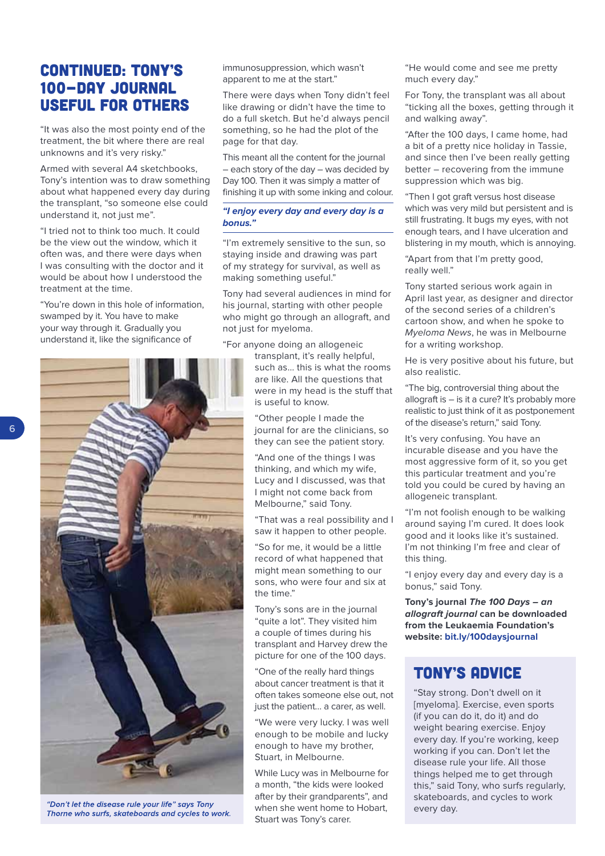### CONTINUED: TONY'S 100-DAY JOURNAL USEFUL FOR OTHERS

"It was also the most pointy end of the treatment, the bit where there are real unknowns and it's very risky."

Armed with several A4 sketchbooks, Tony's intention was to draw something about what happened every day during the transplant, "so someone else could understand it, not just me".

"I tried not to think too much. It could be the view out the window, which it often was, and there were days when I was consulting with the doctor and it would be about how I understood the treatment at the time.

"You're down in this hole of information, swamped by it. You have to make your way through it. Gradually you understand it, like the significance of

immunosuppression, which wasn't apparent to me at the start."

There were days when Tony didn't feel like drawing or didn't have the time to do a full sketch. But he'd always pencil something, so he had the plot of the page for that day.

This meant all the content for the journal – each story of the day – was decided by Day 100. Then it was simply a matter of finishing it up with some inking and colour.

#### **"I enjoy every day and every day is a bonus."**

"I'm extremely sensitive to the sun, so staying inside and drawing was part of my strategy for survival, as well as making something useful."

Tony had several audiences in mind for his journal, starting with other people who might go through an allograft, and not just for myeloma.

"For anyone doing an allogeneic

transplant, it's really helpful, such as… this is what the rooms are like. All the questions that were in my head is the stuff that is useful to know.

"Other people I made the journal for are the clinicians, so they can see the patient story.

"And one of the things I was thinking, and which my wife, Lucy and I discussed, was that I might not come back from Melbourne," said Tony.

"That was a real possibility and I saw it happen to other people.

"So for me, it would be a little record of what happened that might mean something to our sons, who were four and six at the time."

Tony's sons are in the journal "quite a lot". They visited him a couple of times during his transplant and Harvey drew the picture for one of the 100 days.

"One of the really hard things about cancer treatment is that it often takes someone else out, not just the patient… a carer, as well.

"We were very lucky. I was well enough to be mobile and lucky enough to have my brother, Stuart, in Melbourne.

While Lucy was in Melbourne for a month, "the kids were looked after by their grandparents", and when she went home to Hobart, Stuart was Tony's carer.

"He would come and see me pretty much every day."

For Tony, the transplant was all about "ticking all the boxes, getting through it and walking away".

"After the 100 days, I came home, had a bit of a pretty nice holiday in Tassie, and since then I've been really getting better – recovering from the immune suppression which was big.

"Then I got graft versus host disease which was very mild but persistent and is still frustrating. It bugs my eyes, with not enough tears, and I have ulceration and blistering in my mouth, which is annoying.

"Apart from that I'm pretty good, really well."

Tony started serious work again in April last year, as designer and director of the second series of a children's cartoon show, and when he spoke to Myeloma News, he was in Melbourne for a writing workshop.

He is very positive about his future, but also realistic.

"The big, controversial thing about the allograft is – is it a cure? It's probably more realistic to just think of it as postponement of the disease's return," said Tony.

It's very confusing. You have an incurable disease and you have the most aggressive form of it, so you get this particular treatment and you're told you could be cured by having an allogeneic transplant.

"I'm not foolish enough to be walking around saying I'm cured. It does look good and it looks like it's sustained. I'm not thinking I'm free and clear of this thing.

"I enjoy every day and every day is a bonus," said Tony.

**Tony's journal The 100 Days – an allograft journal can be downloaded from the Leukaemia Foundation's website: [bit.ly/100daysjournal](www.bit.ly/100daysjournal)**

### Tony's advice

"Stay strong. Don't dwell on it [myeloma]. Exercise, even sports (if you can do it, do it) and do weight bearing exercise. Enjoy every day. If you're working, keep working if you can. Don't let the disease rule your life. All those things helped me to get through this," said Tony, who surfs regularly, skateboards, and cycles to work every day.



"Don't let the disease rule your life" says Tony Thorne who surfs, skateboards and cycles to work.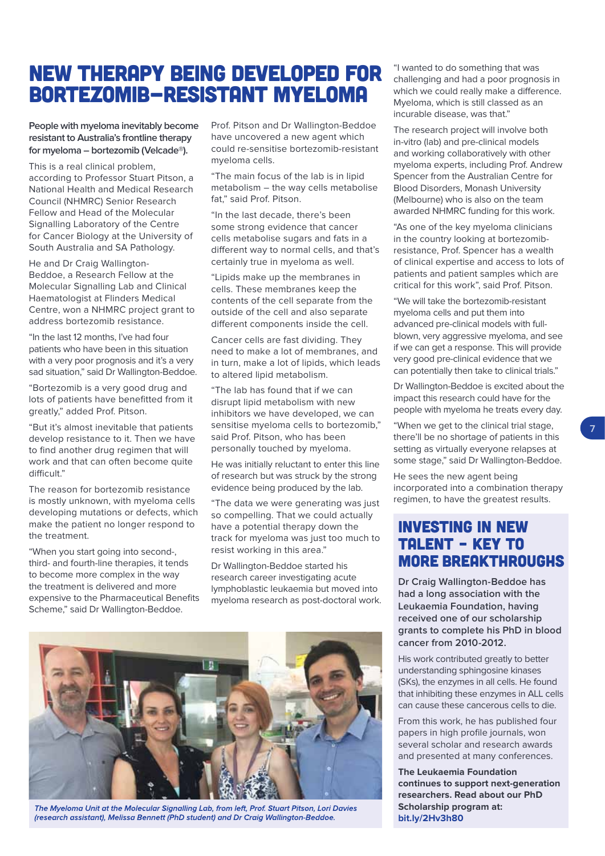# NEW THERAPY BEING DEVELOPED FOR BORTEZOMIB-RESISTANT MYELOMA

**People with myeloma inevitably become resistant to Australia's frontline therapy for myeloma – bortezomib (Velcade®).**

This is a real clinical problem, according to Professor Stuart Pitson, a National Health and Medical Research Council (NHMRC) Senior Research Fellow and Head of the Molecular Signalling Laboratory of the Centre for Cancer Biology at the University of South Australia and SA Pathology.

He and Dr Craig Wallington-Beddoe, a Research Fellow at the Molecular Signalling Lab and Clinical Haematologist at Flinders Medical Centre, won a NHMRC project grant to address bortezomib resistance.

"In the last 12 months, I've had four patients who have been in this situation with a very poor prognosis and it's a very sad situation," said Dr Wallington-Beddoe.

"Bortezomib is a very good drug and lots of patients have benefitted from it greatly," added Prof. Pitson.

"But it's almost inevitable that patients develop resistance to it. Then we have to find another drug regimen that will work and that can often become quite difficult."

The reason for bortezomib resistance is mostly unknown, with myeloma cells developing mutations or defects, which make the patient no longer respond to the treatment.

"When you start going into second-, third- and fourth-line therapies, it tends to become more complex in the way the treatment is delivered and more expensive to the Pharmaceutical Benefits Scheme," said Dr Wallington-Beddoe.

Prof. Pitson and Dr Wallington-Beddoe have uncovered a new agent which could re-sensitise bortezomib-resistant myeloma cells.

"The main focus of the lab is in lipid metabolism – the way cells metabolise fat," said Prof. Pitson.

"In the last decade, there's been some strong evidence that cancer cells metabolise sugars and fats in a different way to normal cells, and that's certainly true in myeloma as well.

"Lipids make up the membranes in cells. These membranes keep the contents of the cell separate from the outside of the cell and also separate different components inside the cell.

Cancer cells are fast dividing. They need to make a lot of membranes, and in turn, make a lot of lipids, which leads to altered lipid metabolism.

"The lab has found that if we can disrupt lipid metabolism with new inhibitors we have developed, we can sensitise myeloma cells to bortezomib," said Prof. Pitson, who has been personally touched by myeloma.

He was initially reluctant to enter this line of research but was struck by the strong evidence being produced by the lab.

"The data we were generating was just so compelling. That we could actually have a potential therapy down the track for myeloma was just too much to resist working in this area."

Dr Wallington-Beddoe started his research career investigating acute lymphoblastic leukaemia but moved into myeloma research as post-doctoral work.



The Myeloma Unit at the Molecular Sianallina Lab, from left, Prof. Stuart Pitson, Lori Davies (research assistant), Melissa Bennett (PhD student) and Dr Craig Wallington-Beddoe.

"I wanted to do something that was challenging and had a poor prognosis in which we could really make a difference. Myeloma, which is still classed as an incurable disease, was that."

The research project will involve both in-vitro (lab) and pre-clinical models and working collaboratively with other myeloma experts, including Prof. Andrew Spencer from the Australian Centre for Blood Disorders, Monash University (Melbourne) who is also on the team awarded NHMRC funding for this work.

"As one of the key myeloma clinicians in the country looking at bortezomibresistance, Prof. Spencer has a wealth of clinical expertise and access to lots of patients and patient samples which are critical for this work", said Prof. Pitson.

"We will take the bortezomib-resistant myeloma cells and put them into advanced pre-clinical models with fullblown, very aggressive myeloma, and see if we can get a response. This will provide very good pre-clinical evidence that we can potentially then take to clinical trials."

Dr Wallington-Beddoe is excited about the impact this research could have for the people with myeloma he treats every day.

"When we get to the clinical trial stage, there'll be no shortage of patients in this setting as virtually everyone relapses at some stage," said Dr Wallington-Beddoe.

**7**

He sees the new agent being incorporated into a combination therapy regimen, to have the greatest results.

### Investing in new talent – key to more breakthroughs

**Dr Craig Wallington-Beddoe has had a long association with the Leukaemia Foundation, having received one of our scholarship grants to complete his PhD in blood cancer from 2010-2012.** 

His work contributed greatly to better understanding sphingosine kinases (SKs), the enzymes in all cells. He found that inhibiting these enzymes in ALL cells can cause these cancerous cells to die.

From this work, he has published four papers in high profile journals, won several scholar and research awards and presented at many conferences.

**The Leukaemia Foundation continues to support next-generation researchers. Read about our PhD Scholarship program at: [bit.ly/2Hv3h80](www.bit.ly/2Hv3h80)**